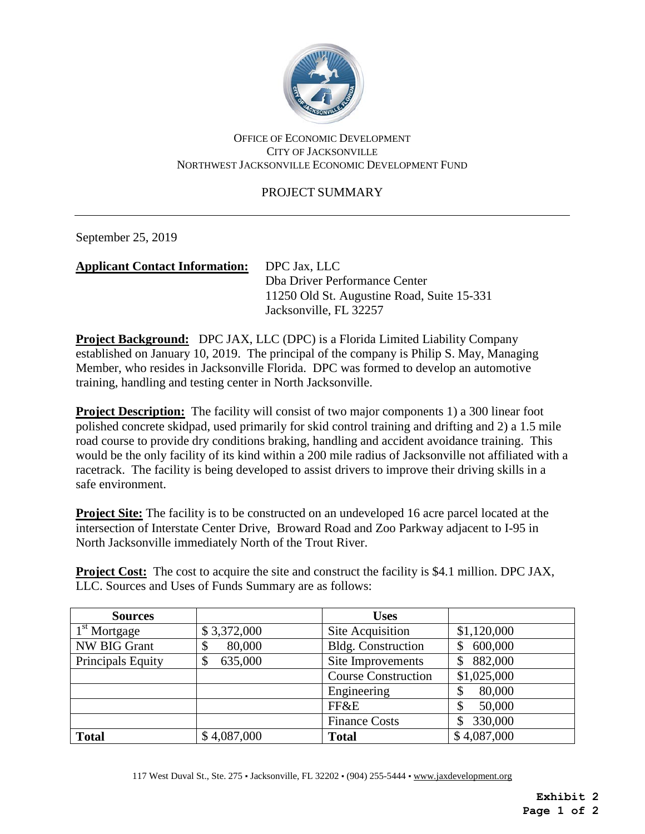

## OFFICE OF ECONOMIC DEVELOPMENT CITY OF JACKSONVILLE NORTHWEST JACKSONVILLE ECONOMIC DEVELOPMENT FUND

## PROJECT SUMMARY

September 25, 2019

## **Applicant Contact Information:** DPC Jax, LLC

Dba Driver Performance Center 11250 Old St. Augustine Road, Suite 15-331 Jacksonville, FL 32257

**Project Background:** DPC JAX, LLC (DPC) is a Florida Limited Liability Company established on January 10, 2019. The principal of the company is Philip S. May, Managing Member, who resides in Jacksonville Florida. DPC was formed to develop an automotive training, handling and testing center in North Jacksonville.

**Project Description:** The facility will consist of two major components 1) a 300 linear foot polished concrete skidpad, used primarily for skid control training and drifting and 2) a 1.5 mile road course to provide dry conditions braking, handling and accident avoidance training. This would be the only facility of its kind within a 200 mile radius of Jacksonville not affiliated with a racetrack. The facility is being developed to assist drivers to improve their driving skills in a safe environment.

**Project Site:** The facility is to be constructed on an undeveloped 16 acre parcel located at the intersection of Interstate Center Drive, Broward Road and Zoo Parkway adjacent to I-95 in North Jacksonville immediately North of the Trout River.

**Project Cost:** The cost to acquire the site and construct the facility is \$4.1 million. DPC JAX, LLC. Sources and Uses of Funds Summary are as follows:

| <b>Sources</b>           |               | <b>Uses</b>                |              |
|--------------------------|---------------|----------------------------|--------------|
| 1 <sup>st</sup> Mortgage | \$3,372,000   | Site Acquisition           | \$1,120,000  |
| <b>NW BIG Grant</b>      | 80,000<br>⊅   | <b>Bldg.</b> Construction  | 600,000      |
| Principals Equity        | 635,000<br>\$ | Site Improvements          | 882,000<br>S |
|                          |               | <b>Course Construction</b> | \$1,025,000  |
|                          |               | Engineering                | 80,000       |
|                          |               | FF&E                       | 50,000       |
|                          |               | <b>Finance Costs</b>       | 330,000      |
| <b>Total</b>             | \$4,087,000   | <b>Total</b>               | \$4,087,000  |